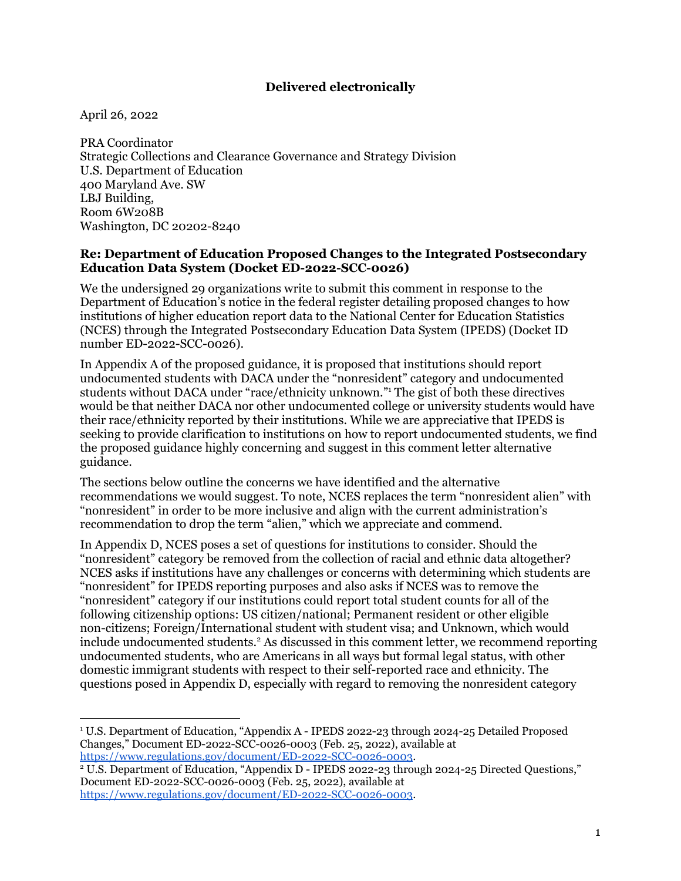## **Delivered electronically**

April 26, 2022

PRA Coordinator Strategic Collections and Clearance Governance and Strategy Division U.S. Department of Education 400 Maryland Ave. SW LBJ Building, Room 6W208B Washington, DC 20202-8240

#### **Re: Department of Education Proposed Changes to the Integrated Postsecondary Education Data System (Docket ED-2022-SCC-0026)**

We the undersigned 29 organizations write to submit this comment in response to the Department of Education's notice in the federal register detailing proposed changes to how institutions of higher education report data to the National Center for Education Statistics (NCES) through the Integrated Postsecondary Education Data System (IPEDS) (Docket ID number ED-2022-SCC-0026).

In Appendix A of the proposed guidance, it is proposed that institutions should report undocumented students with DACA under the "nonresident" category and undocumented students without DACA under "race/ethnicity unknown." <sup>1</sup> The gist of both these directives would be that neither DACA nor other undocumented college or university students would have their race/ethnicity reported by their institutions. While we are appreciative that IPEDS is seeking to provide clarification to institutions on how to report undocumented students, we find the proposed guidance highly concerning and suggest in this comment letter alternative guidance.

The sections below outline the concerns we have identified and the alternative recommendations we would suggest. To note, NCES replaces the term "nonresident alien" with "nonresident" in order to be more inclusive and align with the current administration's recommendation to drop the term "alien," which we appreciate and commend.

In Appendix D, NCES poses a set of questions for institutions to consider. Should the "nonresident" category be removed from the collection of racial and ethnic data altogether? NCES asks if institutions have any challenges or concerns with determining which students are "nonresident" for IPEDS reporting purposes and also asks if NCES was to remove the "nonresident" category if our institutions could report total student counts for all of the following citizenship options: US citizen/national; Permanent resident or other eligible non-citizens; Foreign/International student with student visa; and Unknown, which would include undocumented students. <sup>2</sup> As discussed in this comment letter, we recommend reporting undocumented students, who are Americans in all ways but formal legal status, with other domestic immigrant students with respect to their self-reported race and ethnicity. The questions posed in Appendix D, especially with regard to removing the nonresident category

<sup>1</sup> U.S. Department of Education, "Appendix A - IPEDS 2022-23 through 2024-25 Detailed Proposed Changes," Document ED-2022-SCC-0026-0003 (Feb. 25, 2022), available at <https://www.regulations.gov/document/ED-2022-SCC-0026-0003>.

<sup>&</sup>lt;sup>2</sup> U.S. Department of Education, "Appendix D - IPEDS 2022-23 through 2024-25 Directed Questions," Document ED-2022-SCC-0026-0003 (Feb. 25, 2022), available at <https://www.regulations.gov/document/ED-2022-SCC-0026-0003>.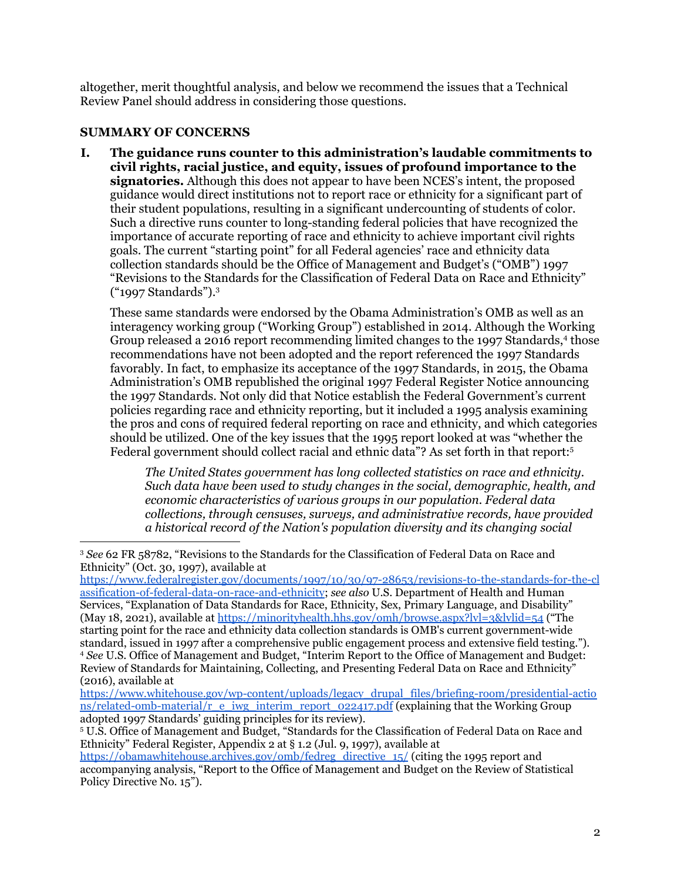altogether, merit thoughtful analysis, and below we recommend the issues that a Technical Review Panel should address in considering those questions.

## **SUMMARY OF CONCERNS**

**I. The guidance runs counter to this administration's laudable commitments to civil rights, racial justice, and equity, issues of profound importance to the signatories.** Although this does not appear to have been NCES's intent, the proposed guidance would direct institutions not to report race or ethnicity for a significant part of their student populations, resulting in a significant undercounting of students of color. Such a directive runs counter to long-standing federal policies that have recognized the importance of accurate reporting of race and ethnicity to achieve important civil rights goals. The current "starting point" for all Federal agencies' race and ethnicity data collection standards should be the Office of Management and Budget's ("OMB") 1997 "Revisions to the Standards for the Classification of Federal Data on Race and Ethnicity" ("1997 Standards"). 3

These same standards were endorsed by the Obama Administration's OMB as well as an interagency working group ("Working Group") established in 2014. Although the Working Group released a 2016 report recommending limited changes to the 1997 Standards,<sup>4</sup> those recommendations have not been adopted and the report referenced the 1997 Standards favorably. In fact, to emphasize its acceptance of the 1997 Standards, in 2015, the Obama Administration's OMB republished the original 1997 Federal Register Notice announcing the 1997 Standards. Not only did that Notice establish the Federal Government's current policies regarding race and ethnicity reporting, but it included a 1995 analysis examining the pros and cons of required federal reporting on race and ethnicity, and which categories should be utilized. One of the key issues that the 1995 report looked at was "whether the Federal government should collect racial and ethnic data"? As set forth in that report: 5

*The United States government has long collected statistics on race and ethnicity. Such data have been used to study changes in the social, demographic, health, and economic characteristics of various groups in our population. Federal data collections, through censuses, surveys, and administrative records, have provided a historical record of the Nation's population diversity and its changing social*

<sup>4</sup> *See* U.S. Office of Management and Budget, "Interim Report to the Office of Management and Budget: Review of Standards for Maintaining, Collecting, and Presenting Federal Data on Race and Ethnicity" (2016), available at [https://www.federalregister.gov/documents/1997/10/30/97-28653/revisions-to-the-standards-for-the-cl](https://www.federalregister.gov/documents/1997/10/30/97-28653/revisions-to-the-standards-for-the-classification-of-federal-data-on-race-and-ethnicity) [assification-of-federal-data-on-race-and-ethnicity](https://www.federalregister.gov/documents/1997/10/30/97-28653/revisions-to-the-standards-for-the-classification-of-federal-data-on-race-and-ethnicity); *see also* U.S. Department of Health and Human Services, "Explanation of Data Standards for Race, Ethnicity, Sex, Primary Language, and Disability" (May 18, 2021), available at <https://minorityhealth.hhs.gov/omh/browse.aspx?lvl=3&lvlid=54> ("The starting point for the race and ethnicity data collection standards is OMB's current government-wide standard, issued in 1997 after a comprehensive public engagement process and extensive field testing.").

[https://www.whitehouse.gov/wp-content/uploads/legacy\\_drupal\\_files/briefing-room/presidential-actio](https://www.whitehouse.gov/wp-content/uploads/legacy_drupal_files/briefing-room/presidential-actions/related-omb-material/r_e_iwg_interim_report_022417.pdf)  $ns/related-omb-material/r$  e iwg\_interim\_report\_022417.pdf (explaining that the Working Group adopted 1997 Standards' guiding principles for its review).

<sup>5</sup> U.S. Office of Management and Budget, "Standards for the Classification of Federal Data on Race and Ethnicity" Federal Register, Appendix 2 at § 1.2 (Jul. 9, 1997), available at

<sup>3</sup> *See* 62 FR 58782, "Revisions to the Standards for the Classification of Federal Data on Race and Ethnicity" (Oct. 30, 1997), available at

[https://obamawhitehouse.archives.gov/omb/fedreg\\_directive\\_15/](https://obamawhitehouse.archives.gov/omb/fedreg_directive_15/) (citing the 1995 report and accompanying analysis, "Report to the Office of Management and Budget on the Review of Statistical Policy Directive No. 15").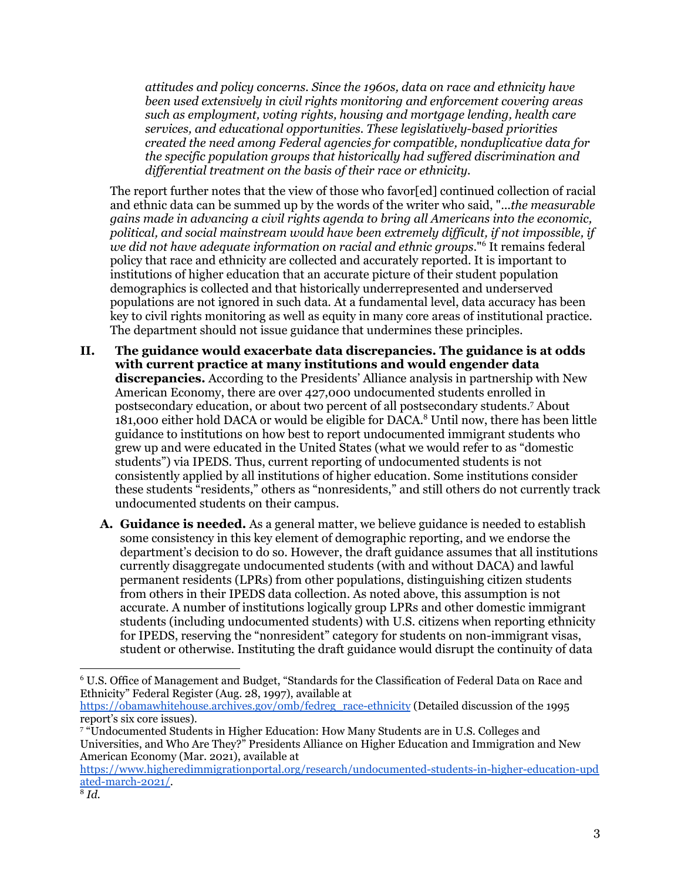*attitudes and policy concerns. Since the 1960s, data on race and ethnicity have been used extensively in civil rights monitoring and enforcement covering areas such as employment, voting rights, housing and mortgage lending, health care services, and educational opportunities. These legislatively-based priorities created the need among Federal agencies for compatible, nonduplicative data for the specific population groups that historically had suf ered discrimination and dif erential treatment on the basis of their race or ethnicity.*

The report further notes that the view of those who favor[ed] continued collection of racial and ethnic data can be summed up by the words of the writer who said, "...*the measurable gains made in advancing a civil rights agenda to bring all Americans into the economic, political, and social mainstream would have been extremely dif icult, if not impossible, if we did not have adequate information on racial and ethnic groups*." <sup>6</sup> It remains federal policy that race and ethnicity are collected and accurately reported. It is important to institutions of higher education that an accurate picture of their student population demographics is collected and that historically underrepresented and underserved populations are not ignored in such data. At a fundamental level, data accuracy has been key to civil rights monitoring as well as equity in many core areas of institutional practice. The department should not issue guidance that undermines these principles.

- **II. The guidance would exacerbate data discrepancies. The guidance is at odds with current practice at many institutions and would engender data discrepancies.** According to the Presidents' Alliance analysis in partnership with New American Economy, there are over 427,000 undocumented students enrolled in postsecondary education, or about two percent of all postsecondary students. <sup>7</sup> About 181,000 either hold DACA or would be eligible for DACA. <sup>8</sup> Until now, there has been little guidance to institutions on how best to report undocumented immigrant students who grew up and were educated in the United States (what we would refer to as "domestic students") via IPEDS. Thus, current reporting of undocumented students is not consistently applied by all institutions of higher education. Some institutions consider these students "residents," others as "nonresidents," and still others do not currently track undocumented students on their campus.
	- **A. Guidance is needed.** As a general matter, we believe guidance is needed to establish some consistency in this key element of demographic reporting, and we endorse the department's decision to do so. However, the draft guidance assumes that all institutions currently disaggregate undocumented students (with and without DACA) and lawful permanent residents (LPRs) from other populations, distinguishing citizen students from others in their IPEDS data collection. As noted above, this assumption is not accurate. A number of institutions logically group LPRs and other domestic immigrant students (including undocumented students) with U.S. citizens when reporting ethnicity for IPEDS, reserving the "nonresident" category for students on non-immigrant visas, student or otherwise. Instituting the draft guidance would disrupt the continuity of data

<sup>6</sup> U.S. Office of Management and Budget, "Standards for the Classification of Federal Data on Race and Ethnicity" Federal Register (Aug. 28, 1997), available at

[https://obamawhitehouse.archives.gov/omb/fedreg\\_race-ethnicity](https://obamawhitehouse.archives.gov/omb/fedreg_race-ethnicity) (Detailed discussion of the 1995 report's six core issues).

<sup>7</sup> "Undocumented Students in Higher Education: How Many Students are in U.S. Colleges and Universities, and Who Are They?" Presidents Alliance on Higher Education and Immigration and New American Economy (Mar. 2021), available at

[https://www.higheredimmigrationportal.org/research/undocumented-students-in-higher-education-upd](https://www.higheredimmigrationportal.org/research/undocumented-students-in-higher-education-updated-march-2021/) [ated-march-2021/](https://www.higheredimmigrationportal.org/research/undocumented-students-in-higher-education-updated-march-2021/).

<sup>8</sup> *Id.*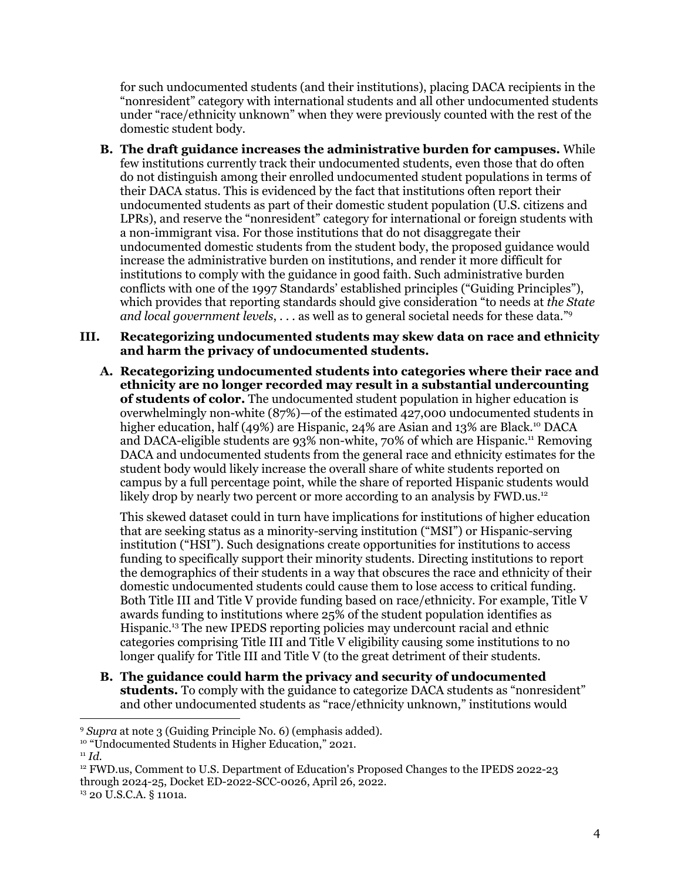for such undocumented students (and their institutions), placing DACA recipients in the "nonresident" category with international students and all other undocumented students under "race/ethnicity unknown" when they were previously counted with the rest of the domestic student body.

**B. The draft guidance increases the administrative burden for campuses.** While few institutions currently track their undocumented students, even those that do often do not distinguish among their enrolled undocumented student populations in terms of their DACA status. This is evidenced by the fact that institutions often report their undocumented students as part of their domestic student population (U.S. citizens and LPRs), and reserve the "nonresident" category for international or foreign students with a non-immigrant visa. For those institutions that do not disaggregate their undocumented domestic students from the student body, the proposed guidance would increase the administrative burden on institutions, and render it more difficult for institutions to comply with the guidance in good faith. Such administrative burden conflicts with one of the 1997 Standards' established principles ("Guiding Principles"), which provides that reporting standards should give consideration "to needs at *the State and local government levels*, . . . as well as to general societal needs for these data." 9

#### **III. Recategorizing undocumented students may skew data on race and ethnicity and harm the privacy of undocumented students.**

**A. Recategorizing undocumented students into categories where their race and ethnicity are no longer recorded may result in a substantial undercounting of students of color.** The undocumented student population in higher education is overwhelmingly non-white (87%)—of the estimated 427,000 undocumented students in higher education, half (49%) are Hispanic, 24% are Asian and 13% are Black. <sup>10</sup> DACA and DACA-eligible students are 93% non-white, 70% of which are Hispanic. <sup>11</sup> Removing DACA and undocumented students from the general race and ethnicity estimates for the student body would likely increase the overall share of white students reported on campus by a full percentage point, while the share of reported Hispanic students would likely drop by nearly two percent or more according to an analysis by FWD.us.<sup>12</sup>

This skewed dataset could in turn have implications for institutions of higher education that are seeking status as a minority-serving institution ("MSI") or Hispanic-serving institution ("HSI"). Such designations create opportunities for institutions to access funding to specifically support their minority students. Directing institutions to report the demographics of their students in a way that obscures the race and ethnicity of their domestic undocumented students could cause them to lose access to critical funding. Both Title III and Title V provide funding based on race/ethnicity. For example, Title V awards funding to institutions where 25% of the student population identifies as Hispanic. <sup>13</sup> The new IPEDS reporting policies may undercount racial and ethnic categories comprising Title III and Title V eligibility causing some institutions to no longer qualify for Title III and Title V (to the great detriment of their students.

**B. The guidance could harm the privacy and security of undocumented students.** To comply with the guidance to categorize DACA students as "nonresident" and other undocumented students as "race/ethnicity unknown," institutions would

<sup>9</sup> *Supra* at note 3 (Guiding Principle No. 6) (emphasis added).

<sup>&</sup>lt;sup>10</sup> "Undocumented Students in Higher Education," 2021.

 $11$  *Id.* 

<sup>&</sup>lt;sup>12</sup> FWD.us, Comment to U.S. Department of Education's Proposed Changes to the IPEDS 2022-23 through 2024-25, Docket ED-2022-SCC-0026, April 26, 2022.

<sup>13</sup> 20 U.S.C.A. § 1101a.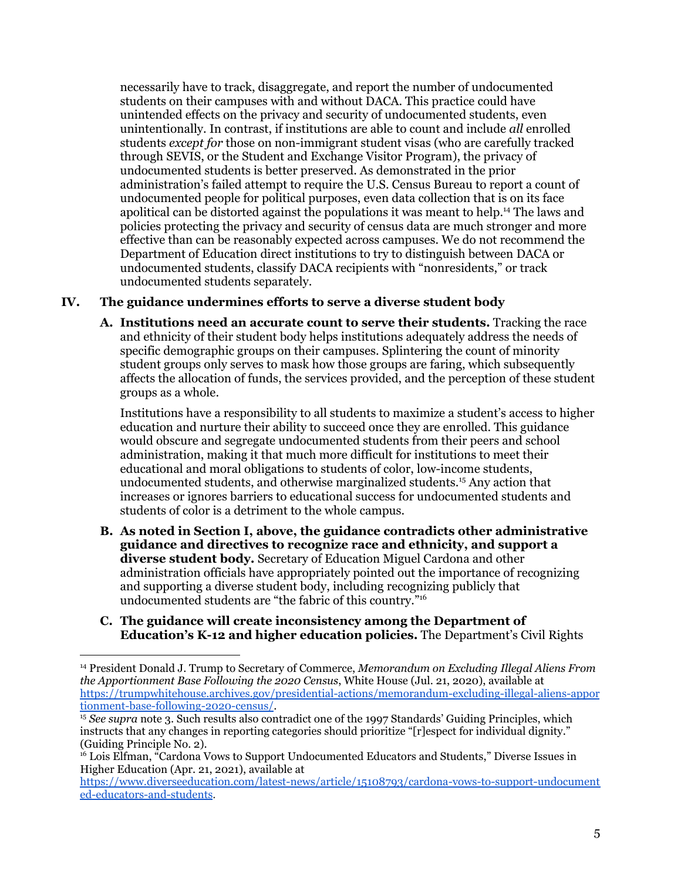necessarily have to track, disaggregate, and report the number of undocumented students on their campuses with and without DACA. This practice could have unintended effects on the privacy and security of undocumented students, even unintentionally. In contrast, if institutions are able to count and include *all* enrolled students *except for* those on non-immigrant student visas (who are carefully tracked through SEVIS, or the Student and Exchange Visitor Program), the privacy of undocumented students is better preserved. As demonstrated in the prior administration's failed attempt to require the U.S. Census Bureau to report a count of undocumented people for political purposes, even data collection that is on its face apolitical can be distorted against the populations it was meant to help. <sup>14</sup> The laws and policies protecting the privacy and security of census data are much stronger and more effective than can be reasonably expected across campuses. We do not recommend the Department of Education direct institutions to try to distinguish between DACA or undocumented students, classify DACA recipients with "nonresidents," or track undocumented students separately.

## **IV. The guidance undermines efforts to serve a diverse student body**

**A. Institutions need an accurate count to serve their students.** Tracking the race and ethnicity of their student body helps institutions adequately address the needs of specific demographic groups on their campuses. Splintering the count of minority student groups only serves to mask how those groups are faring, which subsequently affects the allocation of funds, the services provided, and the perception of these student groups as a whole.

Institutions have a responsibility to all students to maximize a student's access to higher education and nurture their ability to succeed once they are enrolled. This guidance would obscure and segregate undocumented students from their peers and school administration, making it that much more difficult for institutions to meet their educational and moral obligations to students of color, low-income students, undocumented students, and otherwise marginalized students. <sup>15</sup> Any action that increases or ignores barriers to educational success for undocumented students and students of color is a detriment to the whole campus.

- **B. As noted in Section I, above, the guidance contradicts other administrative guidance and directives to recognize race and ethnicity, and support a diverse student body.** Secretary of Education Miguel Cardona and other administration officials have appropriately pointed out the importance of recognizing and supporting a diverse student body, including recognizing publicly that undocumented students are "the fabric of this country." 16
- **C. The guidance will create inconsistency among the Department of Education's K-12 and higher education policies.** The Department's Civil Rights

<sup>14</sup> President Donald J. Trump to Secretary of Commerce, *Memorandum on Excluding Illegal Aliens From the Apportionment Base Following the 2020 Census*, White House (Jul. 21, 2020), available at [https://trumpwhitehouse.archives.gov/presidential-actions/memorandum-excluding-illegal-aliens-appor](https://trumpwhitehouse.archives.gov/presidential-actions/memorandum-excluding-illegal-aliens-apportionment-base-following-2020-census/) [tionment-base-following-2020-census/](https://trumpwhitehouse.archives.gov/presidential-actions/memorandum-excluding-illegal-aliens-apportionment-base-following-2020-census/).

<sup>15</sup> *See supra* note 3. Such results also contradict one of the 1997 Standards' Guiding Principles, which instructs that any changes in reporting categories should prioritize "[r]espect for individual dignity." (Guiding Principle No. 2).

<sup>&</sup>lt;sup>16</sup> Lois Elfman, "Cardona Vows to Support Undocumented Educators and Students," Diverse Issues in Higher Education (Apr. 21, 2021), available at

[https://www.diverseeducation.com/latest-news/article/15108793/cardona-vows-to-support-undocument](https://www.diverseeducation.com/latest-news/article/15108793/cardona-vows-to-support-undocumented-educators-and-students) [ed-educators-and-students](https://www.diverseeducation.com/latest-news/article/15108793/cardona-vows-to-support-undocumented-educators-and-students).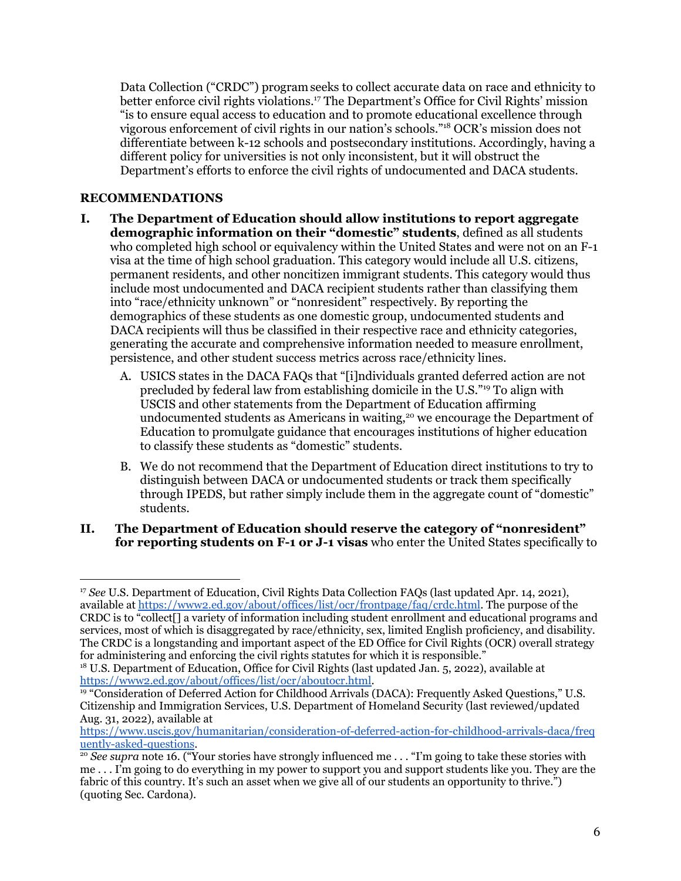Data Collection ("CRDC") programseeks to collect accurate data on race and ethnicity to better enforce civil rights violations. <sup>17</sup> The Department's Office for Civil Rights' mission "is to ensure equal access to education and to promote educational excellence through vigorous enforcement of civil rights in our nation's schools." <sup>18</sup> OCR's mission does not differentiate between k-12 schools and postsecondary institutions. Accordingly, having a different policy for universities is not only inconsistent, but it will obstruct the Department's efforts to enforce the civil rights of undocumented and DACA students.

# **RECOMMENDATIONS**

- **I. The Department of Education should allow institutions to report aggregate demographic information on their "domestic" students**, defined as all students who completed high school or equivalency within the United States and were not on an F-1 visa at the time of high school graduation. This category would include all U.S. citizens, permanent residents, and other noncitizen immigrant students. This category would thus include most undocumented and DACA recipient students rather than classifying them into "race/ethnicity unknown" or "nonresident" respectively. By reporting the demographics of these students as one domestic group, undocumented students and DACA recipients will thus be classified in their respective race and ethnicity categories, generating the accurate and comprehensive information needed to measure enrollment, persistence, and other student success metrics across race/ethnicity lines.
	- A. USICS states in the DACA FAQs that "[i]ndividuals granted deferred action are not precluded by federal law from establishing domicile in the U.S."<sup>19</sup> To align with USCIS and other statements from the Department of Education affirming undocumented students as Americans in waiting, <sup>20</sup> we encourage the Department of Education to promulgate guidance that encourages institutions of higher education to classify these students as "domestic" students.
	- B. We do not recommend that the Department of Education direct institutions to try to distinguish between DACA or undocumented students or track them specifically through IPEDS, but rather simply include them in the aggregate count of "domestic" students.

#### **II. The Department of Education should reserve the category of "nonresident" for reporting students on F-1 or J-1 visas** who enter the United States specifically to

<sup>&</sup>lt;sup>17</sup> *See* U.S. Department of Education, Civil Rights Data Collection FAQs (last updated Apr. 14, 2021), available at <https://www2.ed.gov/about/offices/list/ocr/frontpage/faq/crdc.html>. The purpose of the CRDC is to "collect[] a variety of information including student enrollment and educational programs and services, most of which is disaggregated by race/ethnicity, sex, limited English proficiency, and disability. The CRDC is a longstanding and important aspect of the ED Office for Civil Rights (OCR) overall strategy for administering and enforcing the civil rights statutes for which it is responsible."

<sup>&</sup>lt;sup>18</sup> U.S. Department of Education, Office for Civil Rights (last updated Jan. 5, 2022), available at [https://www2.ed.gov/about/offices/list/ocr/aboutocr.html.](https://www2.ed.gov/about/offices/list/ocr/aboutocr.html)

<sup>19</sup> "Consideration of Deferred Action for Childhood Arrivals (DACA): Frequently Asked Questions," U.S. Citizenship and Immigration Services, U.S. Department of Homeland Security (last reviewed/updated Aug. 31, 2022), available at

[https://www.uscis.gov/humanitarian/consideration-of-deferred-action-for-childhood-arrivals-daca/freq](https://www.uscis.gov/humanitarian/consideration-of-deferred-action-for-childhood-arrivals-daca/frequently-asked-questions) [uently-asked-questions.](https://www.uscis.gov/humanitarian/consideration-of-deferred-action-for-childhood-arrivals-daca/frequently-asked-questions)

<sup>&</sup>lt;sup>20</sup> *See supra* note 16. ("Your stories have strongly influenced me . . . "I'm going to take these stories with me . . . I'm going to do everything in my power to support you and support students like you. They are the fabric of this country. It's such an asset when we give all of our students an opportunity to thrive.") (quoting Sec. Cardona).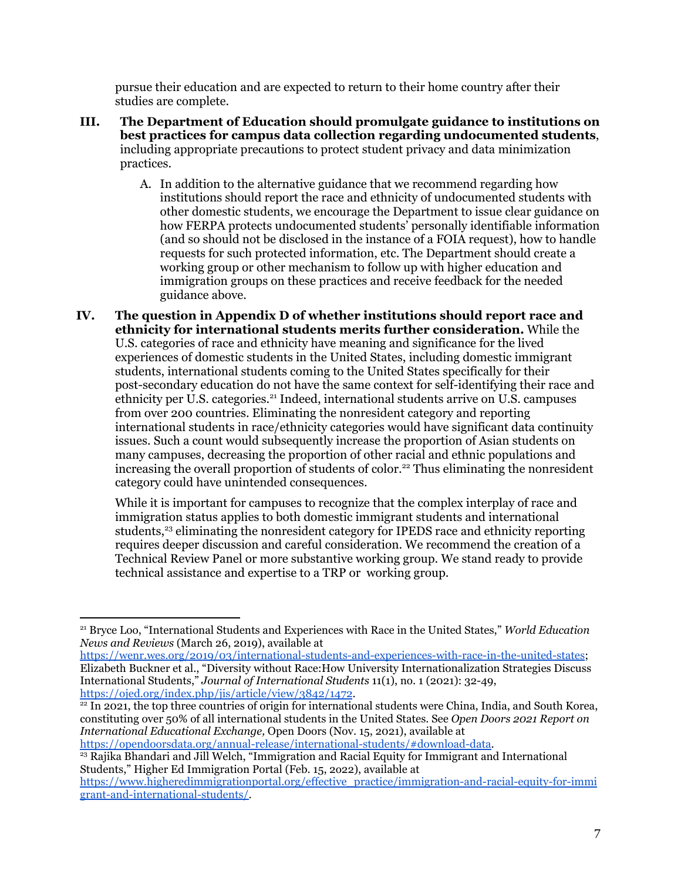pursue their education and are expected to return to their home country after their studies are complete.

- **III. The Department of Education should promulgate guidance to institutions on best practices for campus data collection regarding undocumented students**, including appropriate precautions to protect student privacy and data minimization practices.
	- A. In addition to the alternative guidance that we recommend regarding how institutions should report the race and ethnicity of undocumented students with other domestic students, we encourage the Department to issue clear guidance on how FERPA protects undocumented students' personally identifiable information (and so should not be disclosed in the instance of a FOIA request), how to handle requests for such protected information, etc. The Department should create a working group or other mechanism to follow up with higher education and immigration groups on these practices and receive feedback for the needed guidance above.
- **IV. The question in Appendix D of whether institutions should report race and ethnicity for international students merits further consideration.** While the U.S. categories of race and ethnicity have meaning and significance for the lived experiences of domestic students in the United States, including domestic immigrant students, international students coming to the United States specifically for their post-secondary education do not have the same context for self-identifying their race and ethnicity per U.S. categories. <sup>21</sup> Indeed, international students arrive on U.S. campuses from over 200 countries. Eliminating the nonresident category and reporting international students in race/ethnicity categories would have significant data continuity issues. Such a count would subsequently increase the proportion of Asian students on many campuses, decreasing the proportion of other racial and ethnic populations and increasing the overall proportion of students of color. <sup>22</sup> Thus eliminating the nonresident category could have unintended consequences.

While it is important for campuses to recognize that the complex interplay of race and immigration status applies to both domestic immigrant students and international students,<sup>23</sup> eliminating the nonresident category for IPEDS race and ethnicity reporting requires deeper discussion and careful consideration. We recommend the creation of a Technical Review Panel or more substantive working group. We stand ready to provide technical assistance and expertise to a TRP or working group.

<sup>21</sup> Bryce Loo, "International Students and Experiences with Race in the United States," *World Education News and Reviews* (March 26, 2019), available at

<https://wenr.wes.org/2019/03/international-students-and-experiences-with-race-in-the-united-states>; Elizabeth Buckner et al., "Diversity without Race:How University Internationalization Strategies Discuss International Students," *Journal of International Students* 11(1), no. 1 (2021): 32-49, <https://ojed.org/index.php/jis/article/view/3842/1472>.

 $\frac{22}{2}$  In 2021, the top three countries of origin for international students were China, India, and South Korea, constituting over 50% of all international students in the United States. See *Open Doors 2021 Report on International Educational Exchange,* Open Doors (Nov. 15, 2021), available at [https://opendoorsdata.org/annual-release/international-students/#download-data.](https://opendoorsdata.org/annual-release/international-students/#download-data)

<sup>23</sup> Rajika Bhandari and Jill Welch, "Immigration and Racial Equity for Immigrant and International Students," Higher Ed Immigration Portal (Feb. 15, 2o22), available at

[https://www.higheredimmigrationportal.org/effective\\_practice/immigration-and-racial-equity-for-immi](https://www.higheredimmigrationportal.org/effective_practice/immigration-and-racial-equity-for-immigrant-and-international-students/) [grant-and-international-students/.](https://www.higheredimmigrationportal.org/effective_practice/immigration-and-racial-equity-for-immigrant-and-international-students/)